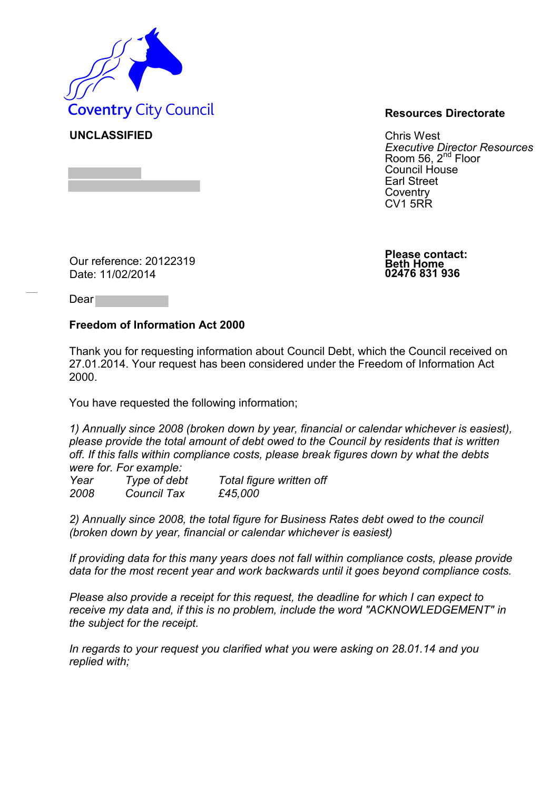

**UNCLASSIFIED** Chris West *Executive Director Resources* Room 56, 2<sup>nd</sup> Floor Council House Earl Street **Coventry** CV1 5RR

Our reference: 20122319 Date: 11/02/2014

**Please contact: Beth Home 02476 831 936**

Dear

## **Freedom of Information Act 2000**

Thank you for requesting information about Council Debt, which the Council received on 27.01.2014. Your request has been considered under the Freedom of Information Act 2000.

You have requested the following information;

*1) Annually since 2008 (broken down by year, financial or calendar whichever is easiest), please provide the total amount of debt owed to the Council by residents that is written off. If this falls within compliance costs, please break figures down by what the debts were for. For example:* 

*Year Type of debt Total figure written off 2008 Council Tax £45,000* 

*2) Annually since 2008, the total figure for Business Rates debt owed to the council (broken down by year, financial or calendar whichever is easiest)* 

*If providing data for this many years does not fall within compliance costs, please provide data for the most recent year and work backwards until it goes beyond compliance costs.* 

*Please also provide a receipt for this request, the deadline for which I can expect to receive my data and, if this is no problem, include the word "ACKNOWLEDGEMENT" in the subject for the receipt.* 

*In regards to your request you clarified what you were asking on 28.01.14 and you replied with;*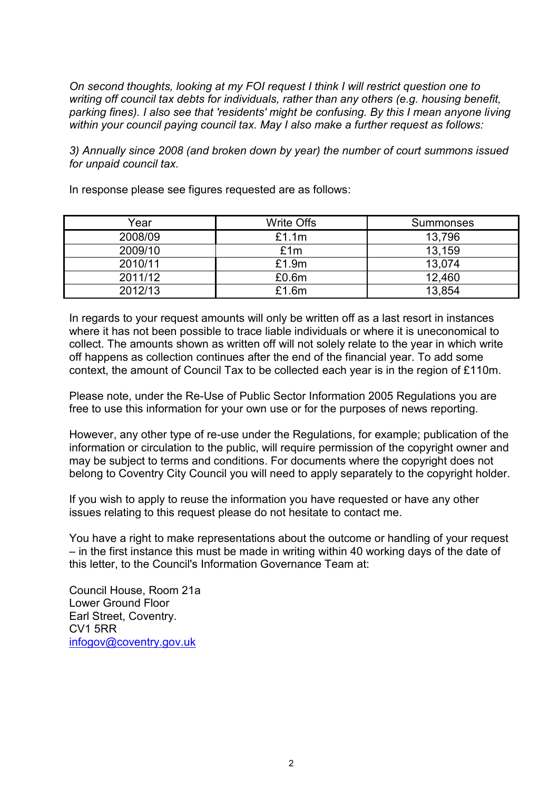*On second thoughts, looking at my FOI request I think I will restrict question one to writing off council tax debts for individuals, rather than any others (e.g. housing benefit, parking fines). I also see that 'residents' might be confusing. By this I mean anyone living within your council paying council tax. May I also make a further request as follows:* 

*3) Annually since 2008 (and broken down by year) the number of court summons issued for unpaid council tax.* 

In response please see figures requested are as follows:

| Year    | Write Offs | Summonses |
|---------|------------|-----------|
| 2008/09 | £1.1m      | 13,796    |
| 2009/10 | £1m        | 13,159    |
| 2010/11 | £1.9m      | 13,074    |
| 2011/12 | £0.6m      | 12,460    |
| 2012/13 | £1.6m      | 13,854    |

In regards to your request amounts will only be written off as a last resort in instances where it has not been possible to trace liable individuals or where it is uneconomical to collect. The amounts shown as written off will not solely relate to the year in which write off happens as collection continues after the end of the financial year. To add some context, the amount of Council Tax to be collected each year is in the region of £110m.

Please note, under the Re-Use of Public Sector Information 2005 Regulations you are free to use this information for your own use or for the purposes of news reporting.

However, any other type of re-use under the Regulations, for example; publication of the information or circulation to the public, will require permission of the copyright owner and may be subject to terms and conditions. For documents where the copyright does not belong to Coventry City Council you will need to apply separately to the copyright holder.

If you wish to apply to reuse the information you have requested or have any other issues relating to this request please do not hesitate to contact me.

You have a right to make representations about the outcome or handling of your request – in the first instance this must be made in writing within 40 working days of the date of this letter, to the Council's Information Governance Team at:

Council House, Room 21a Lower Ground Floor Earl Street, Coventry. CV1 5RR [infogov@coventry.gov.uk](mailto:infogov@coventry.gov.uk)